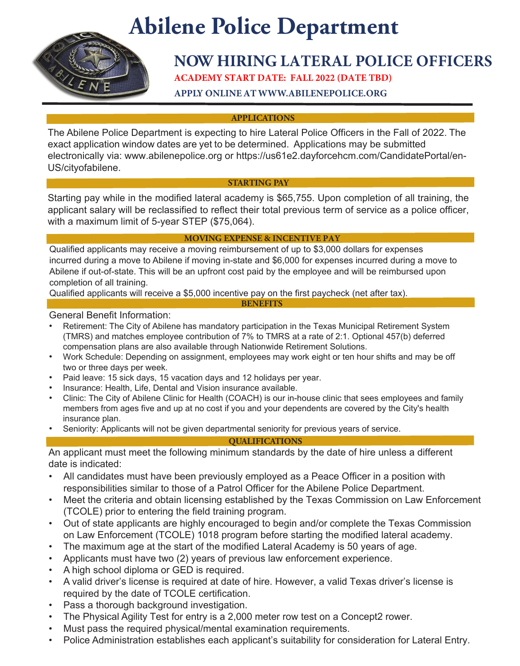# **Abilene Police Department**



## **NOW HIRING LATERAL POLICE OFFICERS**

**ACADEMY START DATE: FALL 2022 (DATE TBD)**

**APPLY ONLINE AT WWW.ABILENEPOLICE.ORG**

**APPLICATIONS**

The Abilene Police Department is expecting to hire Lateral Police Officers in the Fall of 2022. The exact application window dates are yet to be determined. Applications may be submitted electronically via: www.abilenepolice.org or https://us61e2.dayforcehcm.com/CandidatePortal/en-US/cityofabilene.

### **STARTING PAY**

Starting pay while in the modified lateral academy is \$65,755. Upon completion of all training, the applicant salary will be reclassified to reflect their total previous term of service as a police officer, with a maximum limit of 5-year STEP (\$75,064).

### **MOVING EXPENSE & INCENTIVE PAY**

**BENEFITS**

Qualified applicants may receive a moving reimbursement of up to \$3,000 dollars for expenses incurred during a move to Abilene if moving in-state and \$6,000 for expenses incurred during a move to Abilene if out-of-state. This will be an upfront cost paid by the employee and will be reimbursed upon completion of all training.

Qualified applicants will receive a \$5,000 incentive pay on the first paycheck (net after tax).

General Benefit Information:

- Retirement: The City of Abilene has mandatory participation in the Texas Municipal Retirement System (TMRS) and matches employee contribution of 7% to TMRS at a rate of 2:1. Optional 457(b) deferred compensation plans are also available through Nationwide Retirement Solutions.
- Work Schedule: Depending on assignment, employees may work eight or ten hour shifts and may be off two or three days per week.
- Paid leave: 15 sick days, 15 vacation days and 12 holidays per year.
- Insurance: Health, Life, Dental and Vision insurance available.
- Clinic: The City of Abilene Clinic for Health (COACH) is our in-house clinic that sees employees and family members from ages five and up at no cost if you and your dependents are covered by the City's health insurance plan.
- Seniority: Applicants will not be given departmental seniority for previous years of service.

#### **QUALIFICATIONS**

An applicant must meet the following minimum standards by the date of hire unless a different date is indicated:

- All candidates must have been previously employed as a Peace Officer in a position with responsibilities similar to those of a Patrol Officer for the Abilene Police Department.
- Meet the criteria and obtain licensing established by the Texas Commission on Law Enforcement (TCOLE) prior to entering the field training program.
- Out of state applicants are highly encouraged to begin and/or complete the Texas Commission on Law Enforcement (TCOLE) 1018 program before starting the modified lateral academy.
- The maximum age at the start of the modified Lateral Academy is 50 years of age.
- Applicants must have two (2) years of previous law enforcement experience.
- A high school diploma or GED is required.
- A valid driver's license is required at date of hire. However, a valid Texas driver's license is required by the date of TCOLE certification.
- Pass a thorough background investigation.
- The Physical Agility Test for entry is a 2,000 meter row test on a Concept2 rower.
- Must pass the required physical/mental examination requirements.
- Police Administration establishes each applicant's suitability for consideration for Lateral Entry.